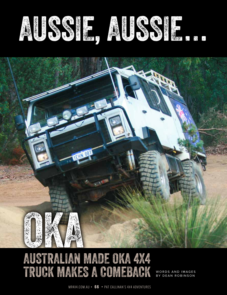



# AUSTRALIAN MADE OKA 4X4 TRUCK MAKES A COMEBACK

WORDS AND IMAGES<br>BY DEAN ROBINSON

MR4X4.COM.AU • **6 6** • PAT CALLINAN'S 4X4 ADVENTURES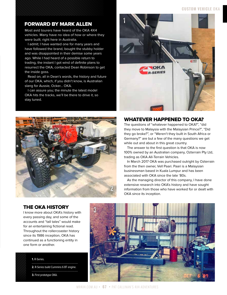#### **CUSTOM VEHICLE** OKA

#### FORWARD BY MARK ALLEN

Most avid tourers have heard of the OKA 4X4 vehicles. Many have no idea of how or where they were built; right here in Australia.

I admit; I have wanted one for many years and have followed the brand, bought the stubby holder and was disappointed in their demise some years ago. While I had heard of a possible return to trading, the instant I got wind of definite plans to resurrect the OKA, contacted Dean Robinson to get the inside goss.

Read on, all in Dean's words, the history and future of our OKA, which, if you didn't know, is Australian slang for Aussie, Ocker… OKA.

I can assure you; the minute the latest model OKA hits the tracks, we'll be there to drive it, so stay tuned.





#### WHATEVER HAPPENED TO OKA?

The questions of "whatever happened to OKA?", "did they move to Malaysia with the Malaysian Prince?", "Did they go broke?", or "Weren't they built in South Africa or Germany?" are but a few of the many questions we get while out and about in this great country.

The answer to the first question is that OKA is now 100% owned by an Australian company, Ozterrain Pty Ltd, trading as OKA All-Terrain Vehicles.

In March 2017 OKA was purchased outright by Ozterrain from the then owner, Vell Paari. Paari is a Malaysian businessman based in Kuala Lumpur and has been associated with OKA since the late '80s.

As the managing director of this company, I have done extensive research into OKA's history and have sought information from those who have worked for or dealt with OKA since its inception.

# THE OKA HISTORY

I know more about OKA's history with every passing day, and some of the accounts and "tall tales" would make for an entertaining fictional read. Throughout the rollercoaster history since its 1986 inception, OKA has continued as a functioning entity in one form or another.

#### **1.** R-Series.

**2.** R-Series build Cummins 6 BT engine.

**3.** First prototype OKA.

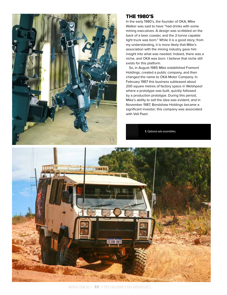

#### THE 1980'S

In the early 1980's, the founder of OKA, Mike Walker was said to have "had drinks with some mining executives. A design was scribbled on the back of a beer coaster, and the 2-tonne capable light truck was born." While it is a good story; from my understanding, it is more likely that Mike's association with the mining industry gave him insight into what was needed. Indeed, there was a niche, and OKA was born. I believe that niche still exists for this platform.

So, in August 1985 Mike established Framont Holdings, created a public company, and then changed the name to OKA Motor Company. In February 1987 this business subleased about 200 square metres of factory space in Welshpool where a prototype was built, quickly followed by a production prototype. During this period, Mike's ability to sell the idea was evident, and in November 1987, Bondshaw Holdings became a significant investor; this company was associated with Vell Paari.

**1.** Optional axle assemblies.

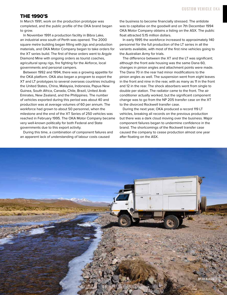#### THE 1990'S

In March 1991, work on the production prototype was completed, and the public profile of the OKA brand began to grow.

In November 1991 a production facility in Bibra Lake, an industrial area south of Perth was opened. The 2000 square metre building began filling with jigs and production materials, and OKA Motor Company began to take orders for the XT series build. The first of these orders went to Argyle Diamond Mine with ongoing orders as tourist coaches, agricultural spray rigs, fire fighting for the Airforce, local governments and personal campers.

Between 1992 and 1994, there was a growing appetite for the OKA platform. OKA also began a program to export the XT and LT prototypes to several overseas countries including the United States, China, Malaysia, Indonesia, Papua New Guinea, South Africa, Canada, Chile, Brazil, United Arab Emirates, New Zealand, and the Philippines. The number of vehicles exported during this period was about 40 and production was at average volumes of 60 per annum. The workforce had grown to about 50 personnel, when the milestone and the end of the XT Series of 250 vehicles was reached in February 1995. The OKA Motor Company became very well-known politically for both Federal and State governments due to this export activity.

During this time, a combination of component failures and an apparent lack of understanding of labour costs caused

the business to become financially stressed. The antidote was to capitalise on the goodwill and on 7th December 1994 OKA Motor Company obtains a listing on the ASX. The public float attracted 5.15 million dollars.

In early 1995 the workforce increased to approximately 140 personnel for the full production of the LT series in all the variants available, with most of the first nine vehicles going to the Australian Army for trials.

The difference between the XT and the LT was significant; although the front axle housing was the same Dana 60, changes in pinion angles and attachment points were made. The Dana 70 in the rear had minor modifications to the pinion angles as well. The suspension went from eight leaves in the front and nine in the rear, with as many as 11 in the front and 12 in the rear. The shock absorbers went from single to double per station. The radiator came to the front. The air conditioner actually worked, but the significant component change was to go from the NP 205 transfer case on the XT to the divorced Rockwell transfer case.

During the next year, OKA produced a record 119 LT vehicles, breaking all records on the previous production but there was a dark cloud moving over the business. Major component failures began to undermine confidence in the brand. The shortcomings of the Rockwell transfer case caused the company to cease production almost one year after floating on the ASX.

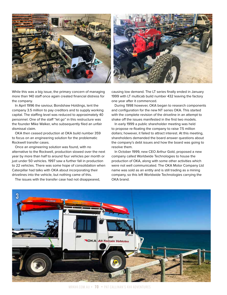

While this was a big issue, the primary concern of managing more than 140 staff once again created financial distress for the company.

In April 1996 the saviour, Bondshaw Holdings, lent the company 3.5 million to pay creditors and to supply working capital. The staffing level was reduced to approximately 40 personnel. One of the staff "let go" in this restructure was the founder Mike Walker, who subsequently filed an unfair dismissal claim.

OKA then ceased production at OKA build number 359 to focus on an engineering solution for the problematic Rockwell transfer cases.

Once an engineering solution was found, with no alternative to the Rockwell, production slowed over the next year by more than half to around four vehicles per month or just under 50 vehicles. 1997 saw a further fall in production to 22 vehicles. There was some hope of consolidation when Caterpillar had talks with OKA about incorporating their drivelines into the vehicle, but nothing came of this.

The issues with the transfer case had not disappeared,

causing low demand. The LT series finally ended in January 1999 with LT multicab build number 432 leaving the factory one year after it commenced.

During 1998 however, OKA began to research components and configuration for the new NT series OKA. This started with the complete revision of the driveline in an attempt to shake off the issues manifested in the first two models.

In early 1999 a public shareholder meeting was held to propose re-floating the company to raise 7.5 million dollars; however, it failed to attract interest. At this meeting, shareholders demanded the board answer questions about the company's debt issues and how the board was going to resolve them.

In October 1999, new CEO Arthur Gold, proposed a new company called Worldwide Technologies to house the production of OKA, along with some other activities which were not well communicated. The OKA Motor Company Ltd name was sold as an entity and is still trading as a mining company, so this left Worldwide Technologies carrying the OKA brand.



MR4X4.COM.AU • **7 0** • PAT CALLINAN'S 4X4 ADVENTURES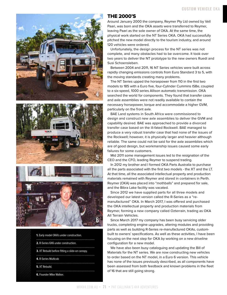





**1.** Early model OKA's under construction. **2.** R-Series 6X6 under construction. **3.** XT Rebuild before fitting a slide-on canopy. **4.** R-Series Multicab **5.** XT Rebuild. 

**6.** Founder Mike Walker.

#### THE 2000'S

Around January 2000 the company, Reymer Pty Ltd owned by Vell Paari, was born and the OKA assets were transferred to Reymer, leaving Paari as the sole owner of OKA. At the same time, the physical work started on the NT Series OKA. OKA had successfully pitched the new model directly to the tourism industry, and around 120 vehicles were ordered.

Unfortunately, the design process for the NT series was not complete, and many obstacles had to be overcome. It took over two years to deliver the NT prototype to the new owners Ruedi and Susi Schoensleben.

Between 2004 and 2011, 16 NT Series vehicles were built across rapidly changing emissions controls from Euro Standard 3 to 5, with the moving standards creating many problems.

The NT Series upped the horsepower from 110 in the first two models to 185 with a Euro five, four-Cylinder Cummins ISBe, coupled to a six-speed, 1000 series Allison automatic transmission. OKA searched the world for components. They found that transfer cases and axle assemblies were not readily available to contain the necessary horsepower, torque and accommodate a higher GVM, particularly on the front axle.

BAE Land systems in South Africa were commissioned to design and construct new axle assemblies to deliver the GVM and capability desired. BAE was approached to provide a divorced transfer case based on the ill-fated Rockwell. BAE managed to produce a very robust transfer case that had none of the issues of the Rockwell; however, it is physically larger and heavier although reliable. The same could not be said for the axle assemblies which are of good design, but workmanship issues caused some early failures for some customers.

Mid 2011 some management issues led to the resignation of the CEO and the CFO, leading Reymer to suspend trading.

In 2012 my brother and I formed OKA Parts Australia to purchase all the parts associated with the first two models - the XT and the LT. At that time, all the associated intellectual property and production materials remained with Reymer and stored in containers in Perth. Reymer (OKA) was placed into "mothballs" and prepared for sale, and the Bibra Lake facility was vacated.

Since 2012 we have supplied parts for all three models and developed our latest version called the R-Series as a "remanufactured" OKA. In March 2017, I was offered and purchased the OKA intellectual property and production materials from Reymer, forming a new company called Ozterrain, trading as OKA All Terrain Vehicles.

Since March 2017 my company has been busy servicing older trucks, completing engine upgrades, altering modules and providing parts as well as building R-Series re-manufactured OKAs, custombuilt to owners' specifications. As well as these activities, I have been focusing on the next step for OKA by working on a new driveline configuration for a new model.

We have also been busy cataloguing and updating the Bill of Materials for the NT series. We are now constructing new vehicles to order based on the NT model, in a Euro 6 version. This vehicle has none of the issues previously described, as all components have been assessed from both feedback and known problems in the fleet of 16 that are still going strong.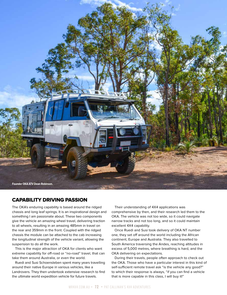

### CAPABILITY DRIVING PASSION

The OKA's enduring capability is based around the ridged chassis and long leaf springs. It is an inspirational design and something I am passionate about. These two components give the vehicle an amazing wheel travel, delivering traction to all wheels, resulting in an amazing 485mm in travel on the rear and 359mm in the front. Coupled with the ridged chassis the module can be attached to the cab increasing the longitudinal strength of the vehicle variant, allowing the suspension to do all the work.

This is the major attraction of OKA for clients who want extreme capability for off-road or "no-road" travel, that can take them around Australia, or even the world.

Ruedi and Susi Schoensleben spent many years travelling around their native Europe in various vehicles, like a Landrovers. They then undertook extensive research to find the ultimate world expedition vehicle for future travels.

Their understanding of 4X4 applications was comprehensive by then, and their research led them to the OKA. The vehicle was not too wide, so it could navigate narrow tracks and not too long, and so it could maintain excellent 4X4 capability.

Once Ruedi and Susi took delivery of OKA NT number one, they set off around the world including the African continent, Europe and Australia. They also travelled to South America traversing the Andes, reaching altitudes in excess of 5,000 metres, where breathing is hard, and the OKA delivering on expectations.

During their travels, people often approach to check out the OKA. Those who have a particular interest in this kind of self-sufficient remote travel ask "is the vehicle any good?" to which their response is always, "if you can find a vehicle that is more capable in this class, I will buy it!"